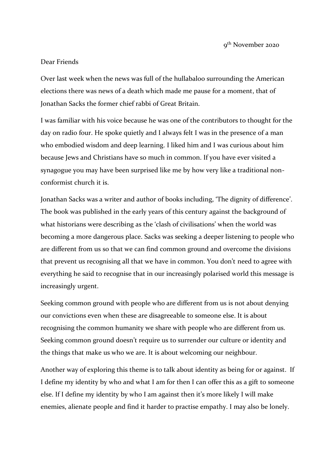9<sup>th</sup> November 2020

## Dear Friends

Over last week when the news was full of the hullabaloo surrounding the American elections there was news of a death which made me pause for a moment, that of Jonathan Sacks the former chief rabbi of Great Britain.

I was familiar with his voice because he was one of the contributors to thought for the day on radio four. He spoke quietly and I always felt I was in the presence of a man who embodied wisdom and deep learning. I liked him and I was curious about him because Jews and Christians have so much in common. If you have ever visited a synagogue you may have been surprised like me by how very like a traditional nonconformist church it is.

Jonathan Sacks was a writer and author of books including, 'The dignity of difference'. The book was published in the early years of this century against the background of what historians were describing as the 'clash of civilisations' when the world was becoming a more dangerous place. Sacks was seeking a deeper listening to people who are different from us so that we can find common ground and overcome the divisions that prevent us recognising all that we have in common. You don't need to agree with everything he said to recognise that in our increasingly polarised world this message is increasingly urgent.

Seeking common ground with people who are different from us is not about denying our convictions even when these are disagreeable to someone else. It is about recognising the common humanity we share with people who are different from us. Seeking common ground doesn't require us to surrender our culture or identity and the things that make us who we are. It is about welcoming our neighbour.

Another way of exploring this theme is to talk about identity as being for or against. If I define my identity by who and what I am for then I can offer this as a gift to someone else. If I define my identity by who I am against then it's more likely I will make enemies, alienate people and find it harder to practise empathy. I may also be lonely.